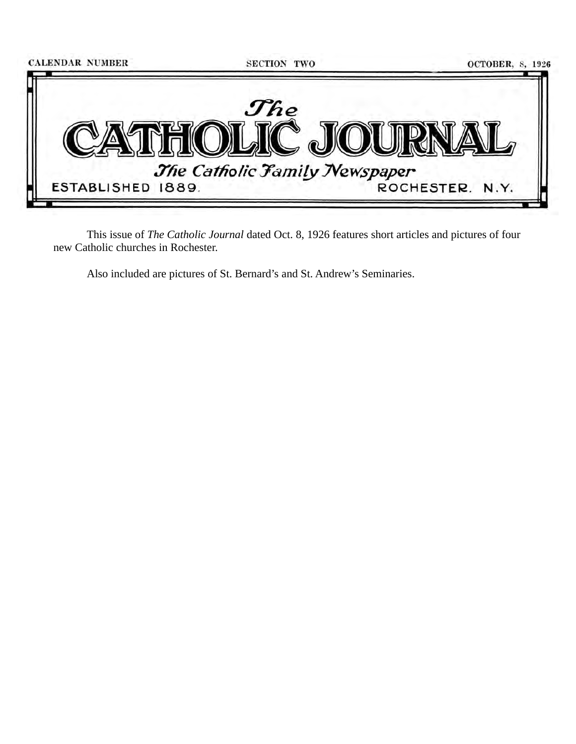

This issue of *The Catholic Journal* dated Oct. 8, 1926 features short articles and pictures of four new Catholic churches in Rochester.

Also included are pictures of St. Bernard's and St. Andrew's Seminaries.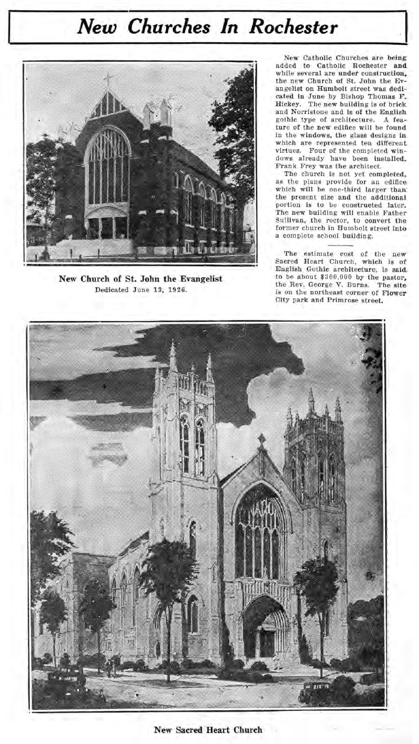## $New$  *Churches In Rochester*



**New Church of** St. **John the Evangelist**  Dedicated June 13, 1926.

New Catholic Churches are being added to Catholic Rochester and while several are undet construction. the new Church of St. John the Evangelist on Humbolt street was dedicated in June by Bishop Thomas F. Hickey. The new building is of brick and Norristone and is of the English<br>gothic type of architecture. A feagothic type of architecture. ture of the new edifice will be found in the windows, the glass designs in which are represented ten different virtues. Four of the completed windows already have been installed. Frank Frey was the architect.

The church is not yet completed. as the plans provide for an edificewhich will be one-third larger than the present size and the additional portion is to be constructed later. The new building will enable Father Sullivan, the rector, to convert the former church in Humbolt street into a complete school building.

The estimate cost of the new Sacred Heart Church, which is of English Gothic architecture, is said. to be about \$300,000 by the pastor. the Rev. George V. Burns. The site is on the northeast corner of Flower City park and Primrose street.

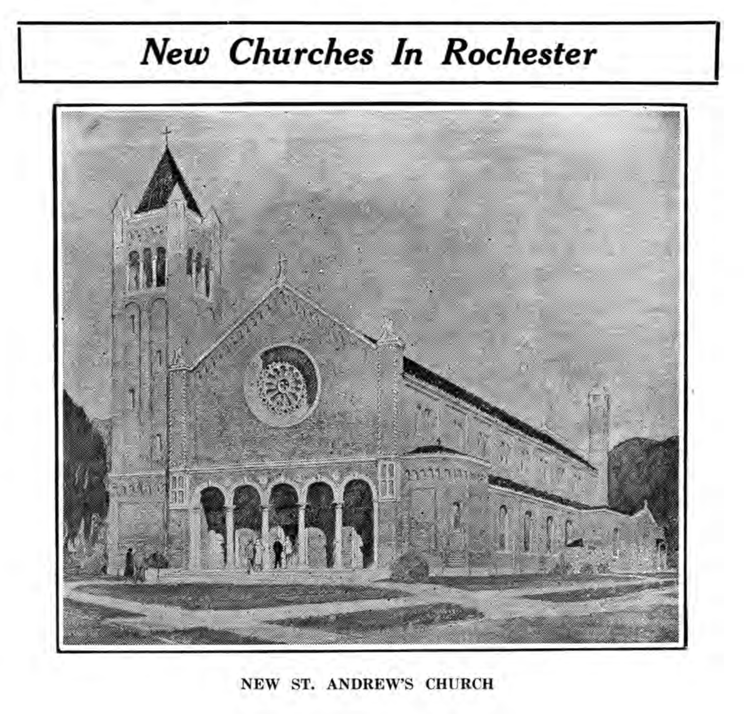## $New$  *Churches In Rochester*



NEW ST. ANDREW'S CHURCH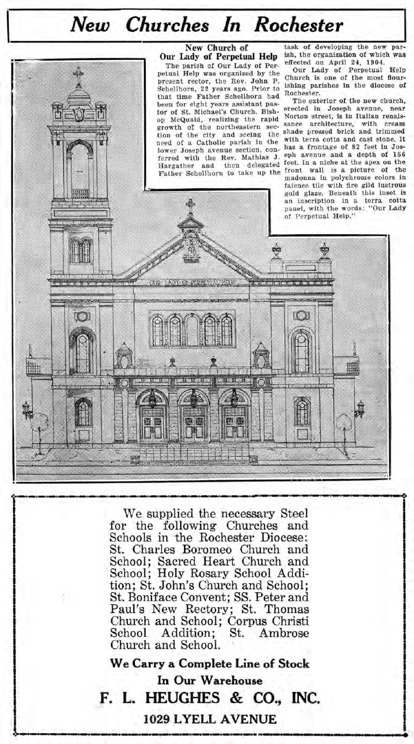## $New$  **Churches In Rochester**



**We supplied the necessary Steel for the following Churches and Schools in the Rochester Diocese: St. Charles Boromeo Church and School; Sacred Heart Church and School; Holy Rosary School Addition; St. John's Church and School; St. Boniface Convent; SS. Peter .and Paul's New Rectory; St. Thomas Church and School; Corpus Christi School Addition; St. Ambrose Church and School.** 

 $We Carry a Complete Line of Stock$ 

**In Our Warehouse** 

**F. L. HEUGHES & CO., INC.** 

## **1029 LYELL AVENUE**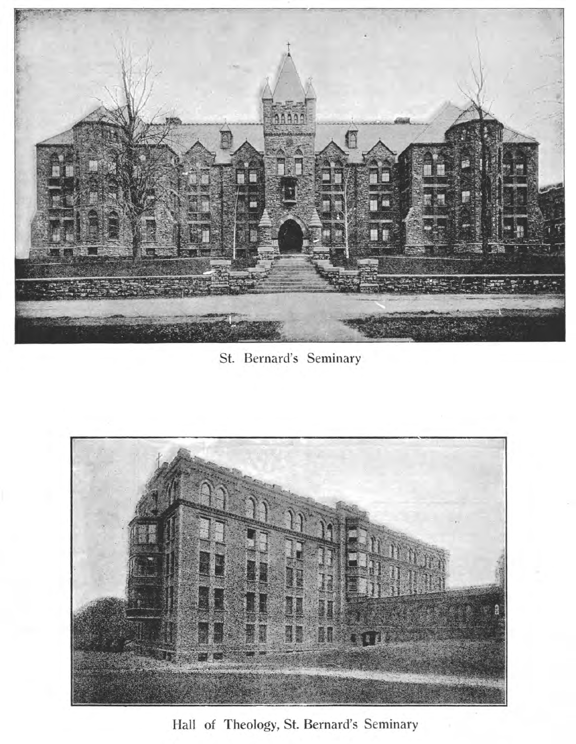

St. Bernard's Seminary



Hall of Theology, St. Bernard's Seminary